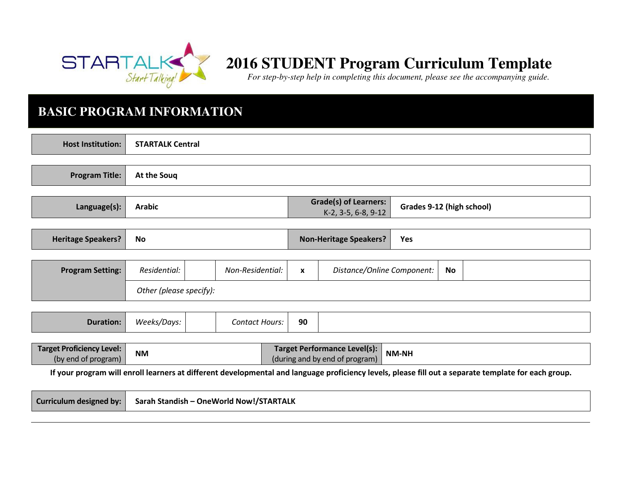

# **2016 STUDENT Program Curriculum Template**

*For step-by-step help in completing this document, please see the accompanying guide.* 

### **BASIC PROGRAM INFORMATION**

| <b>Host Institution:</b>                                                                                                                             | <b>STARTALK Central</b>                 |  |                       |  |              |                                                                       |                            |    |  |
|------------------------------------------------------------------------------------------------------------------------------------------------------|-----------------------------------------|--|-----------------------|--|--------------|-----------------------------------------------------------------------|----------------------------|----|--|
| <b>Program Title:</b>                                                                                                                                | At the Soug                             |  |                       |  |              |                                                                       |                            |    |  |
| Language(s):                                                                                                                                         | <b>Arabic</b>                           |  |                       |  |              | <b>Grade(s) of Learners:</b><br>K-2, 3-5, 6-8, 9-12                   | Grades 9-12 (high school)  |    |  |
| <b>Heritage Speakers?</b>                                                                                                                            | <b>No</b>                               |  |                       |  |              | <b>Non-Heritage Speakers?</b>                                         | Yes                        |    |  |
| <b>Program Setting:</b>                                                                                                                              | Residential:<br>Other (please specify): |  | Non-Residential:      |  | $\mathbf{x}$ |                                                                       | Distance/Online Component: | No |  |
| <b>Duration:</b>                                                                                                                                     | Weeks/Days:                             |  | <b>Contact Hours:</b> |  | 90           |                                                                       |                            |    |  |
| <b>Target Proficiency Level:</b><br>(by end of program)                                                                                              | <b>NM</b>                               |  |                       |  |              | <b>Target Performance Level(s):</b><br>(during and by end of program) | NM-NH                      |    |  |
| If your program will enroll learners at different developmental and language proficiency levels, please fill out a separate template for each group. |                                         |  |                       |  |              |                                                                       |                            |    |  |
| <b>Curriculum designed by:</b>                                                                                                                       | Sarah Standish - OneWorld Now!/STARTALK |  |                       |  |              |                                                                       |                            |    |  |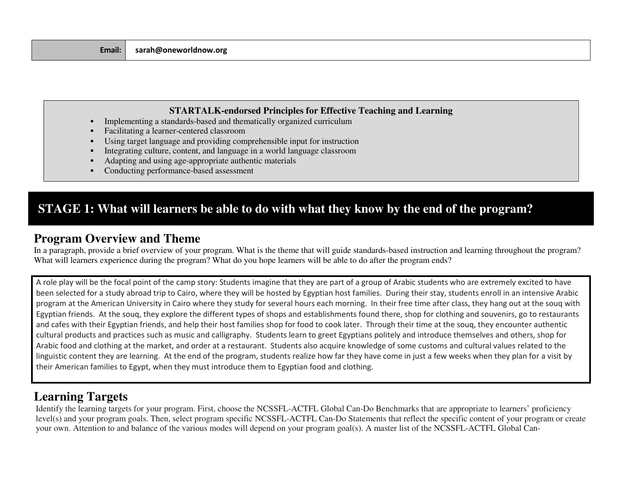#### **STARTALK-endorsed Principles for Effective Teaching and Learning**

- П Implementing a standards-based and thematically organized curriculum
- Facilitating a learner-centered classroom
- Using target language and providing comprehensible input for instruction
- П Integrating culture, content, and language in a world language classroom
- П Adapting and using age-appropriate authentic materials
- п Conducting performance-based assessment

### **STAGE 1: What will learners be able to do with what they know by the end of the program?**

#### **Program Overview and Theme**

 In a paragraph, provide a brief overview of your program. What is the theme that will guide standards-based instruction and learning throughout the program? What will learners experience during the program? What do you hope learners will be able to do after the program ends?

A role play will be the focal point of the camp story: Students imagine that they are part of a group of Arabic students who are extremely excited to have been selected for a study abroad trip to Cairo, where they will be hosted by Egyptian host families. During their stay, students enroll in an intensive Arabic program at the American University in Cairo where they study for several hours each morning. In their free time after class, they hang out at the souq with Egyptian friends. At the souq, they explore the different types of shops and establishments found there, shop for clothing and souvenirs, go to restaurantsand cafes with their Egyptian friends, and help their host families shop for food to cook later. Through their time at the souq, they encounter authentic cultural products and practices such as music and calligraphy. Students learn to greet Egyptians politely and introduce themselves and others, shop for Arabic food and clothing at the market, and order at a restaurant. Students also acquire knowledge of some customs and cultural values related to the linguistic content they are learning. At the end of the program, students realize how far they have come in just a few weeks when they plan for a visit by their American families to Egypt, when they must introduce them to Egyptian food and clothing.

### **Learning Targets**

 Identify the learning targets for your program. First, choose the NCSSFL-ACTFL Global Can-Do Benchmarks that are appropriate to learners' proficiency level(s) and your program goals. Then, select program specific NCSSFL-ACTFL Can-Do Statements that reflect the specific content of your program or createyour own. Attention to and balance of the various modes will depend on your program goal(s). A master list of the NCSSFL-ACTFL Global Can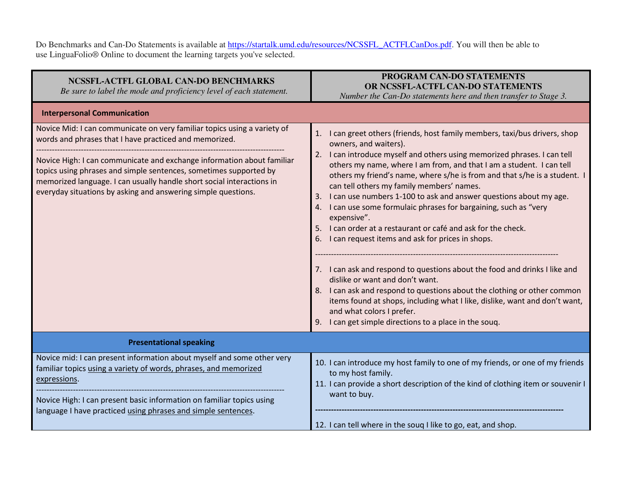Do Benchmarks and Can-Do Statements is available at <u>https://startalk.umd.edu/resources/NCSSFL\_ACTFLCanDos.pdf</u>. You will then be able to use LinguaFolio® Online to document the learning targets you've selected.

| NCSSFL-ACTFL GLOBAL CAN-DO BENCHMARKS<br>Be sure to label the mode and proficiency level of each statement.                                                                                                                                                                                                                                                                                                                 | PROGRAM CAN-DO STATEMENTS<br>OR NCSSFL-ACTFL CAN-DO STATEMENTS<br>Number the Can-Do statements here and then transfer to Stage 3.                                                                                                                                                                                                                                                                                                                                                                                                                                                                                                                                                                                                                                                                                                                                                                                                                                                                                                        |
|-----------------------------------------------------------------------------------------------------------------------------------------------------------------------------------------------------------------------------------------------------------------------------------------------------------------------------------------------------------------------------------------------------------------------------|------------------------------------------------------------------------------------------------------------------------------------------------------------------------------------------------------------------------------------------------------------------------------------------------------------------------------------------------------------------------------------------------------------------------------------------------------------------------------------------------------------------------------------------------------------------------------------------------------------------------------------------------------------------------------------------------------------------------------------------------------------------------------------------------------------------------------------------------------------------------------------------------------------------------------------------------------------------------------------------------------------------------------------------|
| <b>Interpersonal Communication</b>                                                                                                                                                                                                                                                                                                                                                                                          |                                                                                                                                                                                                                                                                                                                                                                                                                                                                                                                                                                                                                                                                                                                                                                                                                                                                                                                                                                                                                                          |
| Novice Mid: I can communicate on very familiar topics using a variety of<br>words and phrases that I have practiced and memorized.<br>Novice High: I can communicate and exchange information about familiar<br>topics using phrases and simple sentences, sometimes supported by<br>memorized language. I can usually handle short social interactions in<br>everyday situations by asking and answering simple questions. | 1. I can greet others (friends, host family members, taxi/bus drivers, shop<br>owners, and waiters).<br>2. I can introduce myself and others using memorized phrases. I can tell<br>others my name, where I am from, and that I am a student. I can tell<br>others my friend's name, where s/he is from and that s/he is a student. I<br>can tell others my family members' names.<br>I can use numbers 1-100 to ask and answer questions about my age.<br>3.<br>I can use some formulaic phrases for bargaining, such as "very<br>4.<br>expensive".<br>I can order at a restaurant or café and ask for the check.<br>I can request items and ask for prices in shops.<br>7. I can ask and respond to questions about the food and drinks I like and<br>dislike or want and don't want.<br>8. I can ask and respond to questions about the clothing or other common<br>items found at shops, including what I like, dislike, want and don't want,<br>and what colors I prefer.<br>9. I can get simple directions to a place in the souq. |
| <b>Presentational speaking</b>                                                                                                                                                                                                                                                                                                                                                                                              |                                                                                                                                                                                                                                                                                                                                                                                                                                                                                                                                                                                                                                                                                                                                                                                                                                                                                                                                                                                                                                          |
| Novice mid: I can present information about myself and some other very<br>familiar topics using a variety of words, phrases, and memorized<br>expressions.<br>Novice High: I can present basic information on familiar topics using<br>language I have practiced using phrases and simple sentences.                                                                                                                        | 10. I can introduce my host family to one of my friends, or one of my friends<br>to my host family.<br>11. I can provide a short description of the kind of clothing item or souvenir I<br>want to buy.<br>12. I can tell where in the soug I like to go, eat, and shop.                                                                                                                                                                                                                                                                                                                                                                                                                                                                                                                                                                                                                                                                                                                                                                 |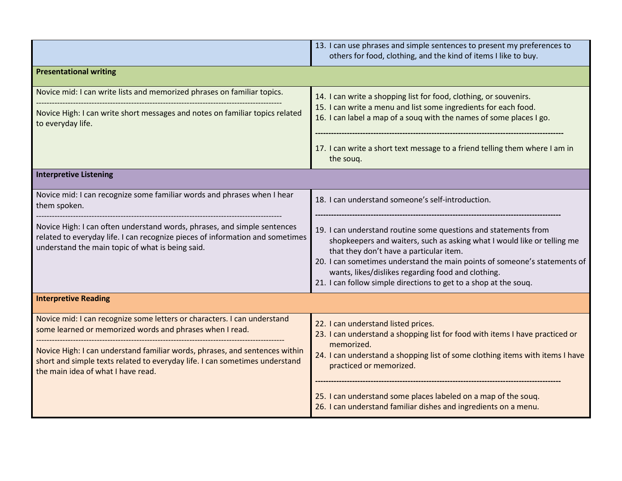|                                                                                                                                                                                                                                                                                                                                          | 13. I can use phrases and simple sentences to present my preferences to<br>others for food, clothing, and the kind of items I like to buy.                                                                                                                                                                                                                                                   |
|------------------------------------------------------------------------------------------------------------------------------------------------------------------------------------------------------------------------------------------------------------------------------------------------------------------------------------------|----------------------------------------------------------------------------------------------------------------------------------------------------------------------------------------------------------------------------------------------------------------------------------------------------------------------------------------------------------------------------------------------|
| <b>Presentational writing</b>                                                                                                                                                                                                                                                                                                            |                                                                                                                                                                                                                                                                                                                                                                                              |
| Novice mid: I can write lists and memorized phrases on familiar topics.<br>Novice High: I can write short messages and notes on familiar topics related<br>to everyday life.                                                                                                                                                             | 14. I can write a shopping list for food, clothing, or souvenirs.<br>15. I can write a menu and list some ingredients for each food.<br>16. I can label a map of a souq with the names of some places I go.<br>17. I can write a short text message to a friend telling them where I am in                                                                                                   |
|                                                                                                                                                                                                                                                                                                                                          | the souq.                                                                                                                                                                                                                                                                                                                                                                                    |
| <b>Interpretive Listening</b>                                                                                                                                                                                                                                                                                                            |                                                                                                                                                                                                                                                                                                                                                                                              |
| Novice mid: I can recognize some familiar words and phrases when I hear<br>them spoken.                                                                                                                                                                                                                                                  | 18. I can understand someone's self-introduction.                                                                                                                                                                                                                                                                                                                                            |
| Novice High: I can often understand words, phrases, and simple sentences<br>related to everyday life. I can recognize pieces of information and sometimes<br>understand the main topic of what is being said.                                                                                                                            | 19. I can understand routine some questions and statements from<br>shopkeepers and waiters, such as asking what I would like or telling me<br>that they don't have a particular item.<br>20. I can sometimes understand the main points of someone's statements of<br>wants, likes/dislikes regarding food and clothing.<br>21. I can follow simple directions to get to a shop at the souq. |
| <b>Interpretive Reading</b>                                                                                                                                                                                                                                                                                                              |                                                                                                                                                                                                                                                                                                                                                                                              |
| Novice mid: I can recognize some letters or characters. I can understand<br>some learned or memorized words and phrases when I read.<br>Novice High: I can understand familiar words, phrases, and sentences within<br>short and simple texts related to everyday life. I can sometimes understand<br>the main idea of what I have read. | 22. I can understand listed prices.<br>23. I can understand a shopping list for food with items I have practiced or<br>memorized.<br>24. I can understand a shopping list of some clothing items with items I have<br>practiced or memorized.<br>25. I can understand some places labeled on a map of the soug.                                                                              |
|                                                                                                                                                                                                                                                                                                                                          | 26. I can understand familiar dishes and ingredients on a menu.                                                                                                                                                                                                                                                                                                                              |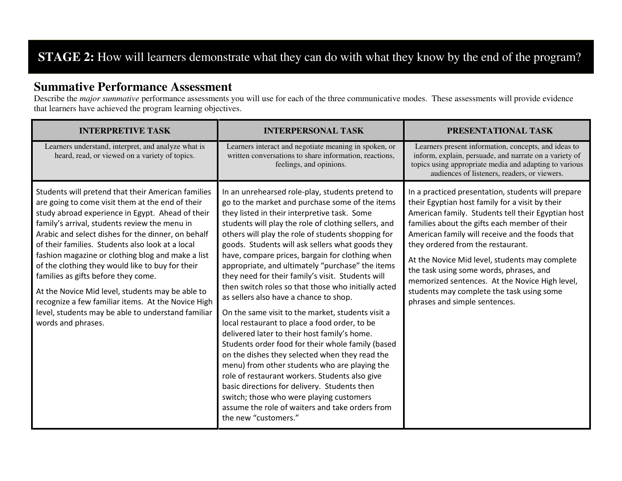## **STAGE 2:** How will learners demonstrate what they can do with what they know by the end of the program?

#### **Summative Performance Assessment**

 Describe the *major summative* performance assessments you will use for each of the three communicative modes. These assessments will provide evidence that learners have achieved the program learning objectives.

| <b>INTERPRETIVE TASK</b>                                                                                                                                                                                                                                                                                                                                                                                                                                                                                                                                                                                                                                    | <b>INTERPERSONAL TASK</b>                                                                                                                                                                                                                                                                                                                                                                                                                                                                                                                                                                                                                                                                                                                                                                                                                                                                                                                                                                                                                                                                                                 | PRESENTATIONAL TASK                                                                                                                                                                                                                                                                                                                                                                                                                                                                                                               |
|-------------------------------------------------------------------------------------------------------------------------------------------------------------------------------------------------------------------------------------------------------------------------------------------------------------------------------------------------------------------------------------------------------------------------------------------------------------------------------------------------------------------------------------------------------------------------------------------------------------------------------------------------------------|---------------------------------------------------------------------------------------------------------------------------------------------------------------------------------------------------------------------------------------------------------------------------------------------------------------------------------------------------------------------------------------------------------------------------------------------------------------------------------------------------------------------------------------------------------------------------------------------------------------------------------------------------------------------------------------------------------------------------------------------------------------------------------------------------------------------------------------------------------------------------------------------------------------------------------------------------------------------------------------------------------------------------------------------------------------------------------------------------------------------------|-----------------------------------------------------------------------------------------------------------------------------------------------------------------------------------------------------------------------------------------------------------------------------------------------------------------------------------------------------------------------------------------------------------------------------------------------------------------------------------------------------------------------------------|
| Learners understand, interpret, and analyze what is<br>heard, read, or viewed on a variety of topics.                                                                                                                                                                                                                                                                                                                                                                                                                                                                                                                                                       | Learners interact and negotiate meaning in spoken, or<br>written conversations to share information, reactions,<br>feelings, and opinions.                                                                                                                                                                                                                                                                                                                                                                                                                                                                                                                                                                                                                                                                                                                                                                                                                                                                                                                                                                                | Learners present information, concepts, and ideas to<br>inform, explain, persuade, and narrate on a variety of<br>topics using appropriate media and adapting to various<br>audiences of listeners, readers, or viewers.                                                                                                                                                                                                                                                                                                          |
| Students will pretend that their American families<br>are going to come visit them at the end of their<br>study abroad experience in Egypt. Ahead of their<br>family's arrival, students review the menu in<br>Arabic and select dishes for the dinner, on behalf<br>of their families. Students also look at a local<br>fashion magazine or clothing blog and make a list<br>of the clothing they would like to buy for their<br>families as gifts before they come.<br>At the Novice Mid level, students may be able to<br>recognize a few familiar items. At the Novice High<br>level, students may be able to understand familiar<br>words and phrases. | In an unrehearsed role-play, students pretend to<br>go to the market and purchase some of the items<br>they listed in their interpretive task. Some<br>students will play the role of clothing sellers, and<br>others will play the role of students shopping for<br>goods. Students will ask sellers what goods they<br>have, compare prices, bargain for clothing when<br>appropriate, and ultimately "purchase" the items<br>they need for their family's visit. Students will<br>then switch roles so that those who initially acted<br>as sellers also have a chance to shop.<br>On the same visit to the market, students visit a<br>local restaurant to place a food order, to be<br>delivered later to their host family's home.<br>Students order food for their whole family (based<br>on the dishes they selected when they read the<br>menu) from other students who are playing the<br>role of restaurant workers. Students also give<br>basic directions for delivery. Students then<br>switch; those who were playing customers<br>assume the role of waiters and take orders from<br>the new "customers." | In a practiced presentation, students will prepare<br>their Egyptian host family for a visit by their<br>American family. Students tell their Egyptian host<br>families about the gifts each member of their<br>American family will receive and the foods that<br>they ordered from the restaurant.<br>At the Novice Mid level, students may complete<br>the task using some words, phrases, and<br>memorized sentences. At the Novice High level,<br>students may complete the task using some<br>phrases and simple sentences. |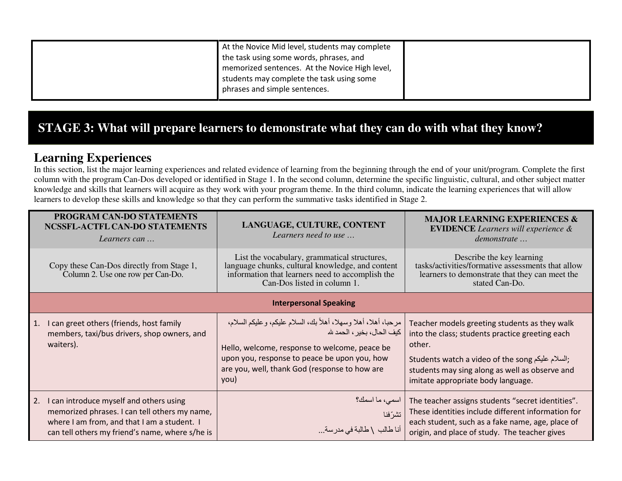| At the Novice Mid level, students may complete<br>the task using some words, phrases, and<br>memorized sentences. At the Novice High level,<br>students may complete the task using some |  |
|------------------------------------------------------------------------------------------------------------------------------------------------------------------------------------------|--|
| phrases and simple sentences.                                                                                                                                                            |  |

### **STAGE 3: What will prepare learners to demonstrate what they can do with what they know?**

#### **Learning Experiences**

 In this section, list the major learning experiences and related evidence of learning from the beginning through the end of your unit/program. Complete the first column with the program Can-Dos developed or identified in Stage 1. In the second column, determine the specific linguistic, cultural, and other subject matter knowledge and skills that learners will acquire as they work with your program theme. In the third column, indicate the learning experiences that will allow learners to develop these skills and knowledge so that they can perform the summative tasks identified in Stage 2.

|    | PROGRAM CAN-DO STATEMENTS<br>NCSSFL-ACTFL CAN-DO STATEMENTS<br>Learners can                                                                                                                | LANGUAGE, CULTURE, CONTENT<br>Learners need to use                                                                                                                                                                                                     | <b>MAJOR LEARNING EXPERIENCES &amp;</b><br><b>EVIDENCE</b> Learners will experience &<br>demonstrate                                                                                                                                                                     |  |  |
|----|--------------------------------------------------------------------------------------------------------------------------------------------------------------------------------------------|--------------------------------------------------------------------------------------------------------------------------------------------------------------------------------------------------------------------------------------------------------|--------------------------------------------------------------------------------------------------------------------------------------------------------------------------------------------------------------------------------------------------------------------------|--|--|
|    | Copy these Can-Dos directly from Stage 1,<br>Column 2. Use one row per Can-Do.                                                                                                             | List the vocabulary, grammatical structures,<br>language chunks, cultural knowledge, and content<br>information that learners need to accomplish the<br>Can-Dos listed in column 1.                                                                    | Describe the key learning<br>tasks/activities/formative assessments that allow<br>learners to demonstrate that they can meet the<br>stated Can-Do.                                                                                                                       |  |  |
|    | <b>Interpersonal Speaking</b>                                                                                                                                                              |                                                                                                                                                                                                                                                        |                                                                                                                                                                                                                                                                          |  |  |
| 1. | I can greet others (friends, host family<br>members, taxi/bus drivers, shop owners, and<br>waiters).                                                                                       | مرحبا، أهلا، أهلا وسهلا، أهلاً بك، السلام عليكم، وعليكم السلام،<br>كيف الحال، بخير ، الحمد ش<br>Hello, welcome, response to welcome, peace be<br>upon you, response to peace be upon you, how<br>are you, well, thank God (response to how are<br>you) | Teacher models greeting students as they walk<br>into the class; students practice greeting each<br>other.<br>Students watch a video of the song السلام عليكم عليكم السلام عليكم<br>students may sing along as well as observe and<br>imitate appropriate body language. |  |  |
| 2. | I can introduce myself and others using<br>memorized phrases. I can tell others my name,<br>where I am from, and that I am a student. I<br>can tell others my friend's name, where s/he is | اسمى، ما اسمك؟<br>تشرّفنا<br>أنا طالب \ طالبة في مدرسة                                                                                                                                                                                                 | The teacher assigns students "secret identities".<br>These identities include different information for<br>each student, such as a fake name, age, place of<br>origin, and place of study. The teacher gives                                                             |  |  |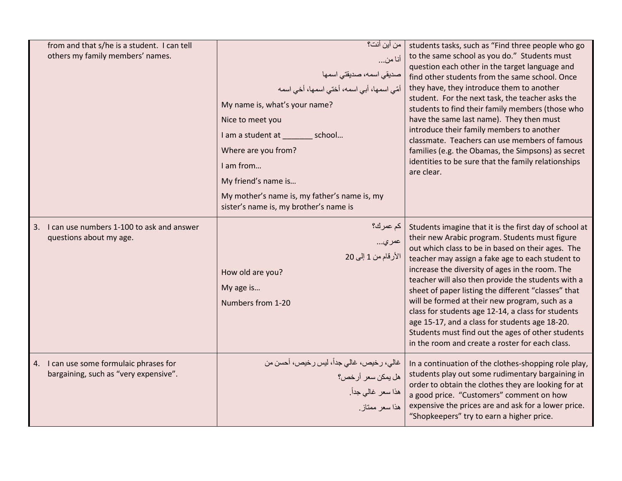| from and that s/he is a student. I can tell<br>others my family members' names.  | من أين أنت؟<br>أنا من<br>صديقى اسمه، صديقتى اسمها<br>أمّي اسمها، أبي اسمه، أخنّي اسمها، أخي اسمه<br>My name is, what's your name?<br>Nice to meet you<br>I am a student at _________ school<br>Where are you from?<br>I am from<br>My friend's name is<br>My mother's name is, my father's name is, my<br>sister's name is, my brother's name is | students tasks, such as "Find three people who go<br>to the same school as you do." Students must<br>question each other in the target language and<br>find other students from the same school. Once<br>they have, they introduce them to another<br>student. For the next task, the teacher asks the<br>students to find their family members (those who<br>have the same last name). They then must<br>introduce their family members to another<br>classmate. Teachers can use members of famous<br>families (e.g. the Obamas, the Simpsons) as secret<br>identities to be sure that the family relationships<br>are clear.                     |
|----------------------------------------------------------------------------------|--------------------------------------------------------------------------------------------------------------------------------------------------------------------------------------------------------------------------------------------------------------------------------------------------------------------------------------------------|-----------------------------------------------------------------------------------------------------------------------------------------------------------------------------------------------------------------------------------------------------------------------------------------------------------------------------------------------------------------------------------------------------------------------------------------------------------------------------------------------------------------------------------------------------------------------------------------------------------------------------------------------------|
| 3. I can use numbers 1-100 to ask and answer<br>questions about my age.          | كم عمرك؟<br>  عمري<br>الأرقام من 1 إلى 20<br>How old are you?<br>My age is<br>Numbers from 1-20                                                                                                                                                                                                                                                  | Students imagine that it is the first day of school at<br>their new Arabic program. Students must figure<br>out which class to be in based on their ages. The<br>teacher may assign a fake age to each student to<br>increase the diversity of ages in the room. The<br>teacher will also then provide the students with a<br>sheet of paper listing the different "classes" that<br>will be formed at their new program, such as a<br>class for students age 12-14, a class for students<br>age 15-17, and a class for students age 18-20.<br>Students must find out the ages of other students<br>in the room and create a roster for each class. |
| 4. I can use some formulaic phrases for<br>bargaining, such as "very expensive". | غالي، رخيص، غالي جداً، ليس رخيص، أحسن من<br>هل يمكن سعر أرخص؟<br>هذا سعر غالي جداً.<br>هذا سعر ممتاز                                                                                                                                                                                                                                             | In a continuation of the clothes-shopping role play,<br>students play out some rudimentary bargaining in<br>order to obtain the clothes they are looking for at<br>a good price. "Customers" comment on how<br>expensive the prices are and ask for a lower price.<br>"Shopkeepers" try to earn a higher price.                                                                                                                                                                                                                                                                                                                                     |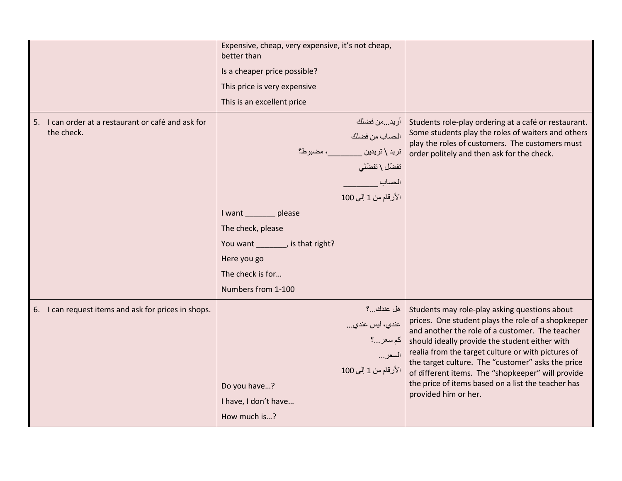|                                                                  | Expensive, cheap, very expensive, it's not cheap,<br>better than<br>Is a cheaper price possible?<br>This price is very expensive<br>This is an excellent price                                                                                                     |                                                                                                                                                                                                                                                                                                                                                                                                                                                        |
|------------------------------------------------------------------|--------------------------------------------------------------------------------------------------------------------------------------------------------------------------------------------------------------------------------------------------------------------|--------------------------------------------------------------------------------------------------------------------------------------------------------------------------------------------------------------------------------------------------------------------------------------------------------------------------------------------------------------------------------------------------------------------------------------------------------|
| 5. I can order at a restaurant or café and ask for<br>the check. | اريدمن فضلك<br>الحساب من فضلك<br>تريد \ تريدين _________ ، مضبوط؟<br>تفضّل \ تفضّلي<br>الحساب<br>الأرقام من 1 إلى 100<br>I want ________ please<br>The check, please<br>You want ________, is that right?<br>Here you go<br>The check is for<br>Numbers from 1-100 | Students role-play ordering at a café or restaurant.<br>Some students play the roles of waiters and others<br>play the roles of customers. The customers must<br>order politely and then ask for the check.                                                                                                                                                                                                                                            |
| 6. I can request items and ask for prices in shops.              | هل عندك ؟<br>  عندي، ليس عندي<br> <br>  كم سعر؟<br>السعر …<br>الأرقام من 1 إلى 100<br>Do you have?<br>I have, I don't have<br>How much is?                                                                                                                         | Students may role-play asking questions about<br>prices. One student plays the role of a shopkeeper<br>and another the role of a customer. The teacher<br>should ideally provide the student either with<br>realia from the target culture or with pictures of<br>the target culture. The "customer" asks the price<br>of different items. The "shopkeeper" will provide<br>the price of items based on a list the teacher has<br>provided him or her. |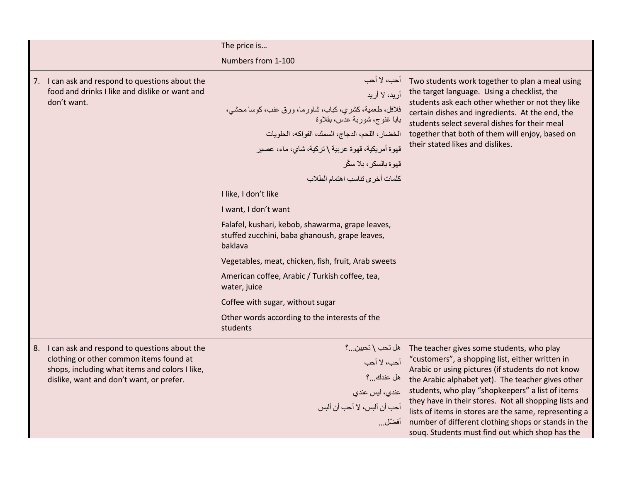|                                                                                                                                                                                          | The price is                                                                                                                                                                                                                                                                                                       |                                                                                                                                                                                                                                                                                                                                                                                                                                                                                        |
|------------------------------------------------------------------------------------------------------------------------------------------------------------------------------------------|--------------------------------------------------------------------------------------------------------------------------------------------------------------------------------------------------------------------------------------------------------------------------------------------------------------------|----------------------------------------------------------------------------------------------------------------------------------------------------------------------------------------------------------------------------------------------------------------------------------------------------------------------------------------------------------------------------------------------------------------------------------------------------------------------------------------|
|                                                                                                                                                                                          | Numbers from 1-100                                                                                                                                                                                                                                                                                                 |                                                                                                                                                                                                                                                                                                                                                                                                                                                                                        |
| 7. I can ask and respond to questions about the<br>food and drinks I like and dislike or want and<br>don't want.                                                                         | أحب، لا أحب<br>أريد، لا أريد<br>فلافل، طعمية، كشري، كباب، شاورما، ورق عنب، كوسا محشى،<br>باباً غنوج، شوربة عدس، بقلاوة<br>الخضبار، اللحم، الدجاج، السمك، الفواكه، الحلويات<br>قهوة أمريكية، قهوة عربية \ تركية، شاي، ماء، عصير<br>قهوة بالسكر ، بلا سكّر<br>كلمات أخرى تناسب اهتمام الطلاب<br>I like, I don't like | Two students work together to plan a meal using<br>the target language. Using a checklist, the<br>students ask each other whether or not they like<br>certain dishes and ingredients. At the end, the<br>students select several dishes for their meal<br>together that both of them will enjoy, based on<br>their stated likes and dislikes.                                                                                                                                          |
|                                                                                                                                                                                          | I want, I don't want                                                                                                                                                                                                                                                                                               |                                                                                                                                                                                                                                                                                                                                                                                                                                                                                        |
|                                                                                                                                                                                          | Falafel, kushari, kebob, shawarma, grape leaves,<br>stuffed zucchini, baba ghanoush, grape leaves,<br>baklava                                                                                                                                                                                                      |                                                                                                                                                                                                                                                                                                                                                                                                                                                                                        |
|                                                                                                                                                                                          | Vegetables, meat, chicken, fish, fruit, Arab sweets                                                                                                                                                                                                                                                                |                                                                                                                                                                                                                                                                                                                                                                                                                                                                                        |
|                                                                                                                                                                                          | American coffee, Arabic / Turkish coffee, tea,<br>water, juice                                                                                                                                                                                                                                                     |                                                                                                                                                                                                                                                                                                                                                                                                                                                                                        |
|                                                                                                                                                                                          | Coffee with sugar, without sugar                                                                                                                                                                                                                                                                                   |                                                                                                                                                                                                                                                                                                                                                                                                                                                                                        |
|                                                                                                                                                                                          | Other words according to the interests of the<br>students                                                                                                                                                                                                                                                          |                                                                                                                                                                                                                                                                                                                                                                                                                                                                                        |
| 8. I can ask and respond to questions about the<br>clothing or other common items found at<br>shops, including what items and colors I like,<br>dislike, want and don't want, or prefer. | هل تحب \ تحبين؟<br>أحب، لا أحب<br>هل عندك؟<br>عندي، ليس عندي<br>أحب أن ألبس، لا أحب أن ألبس<br>أفضّل                                                                                                                                                                                                               | The teacher gives some students, who play<br>"customers", a shopping list, either written in<br>Arabic or using pictures (if students do not know<br>the Arabic alphabet yet). The teacher gives other<br>students, who play "shopkeepers" a list of items<br>they have in their stores. Not all shopping lists and<br>lists of items in stores are the same, representing a<br>number of different clothing shops or stands in the<br>soug. Students must find out which shop has the |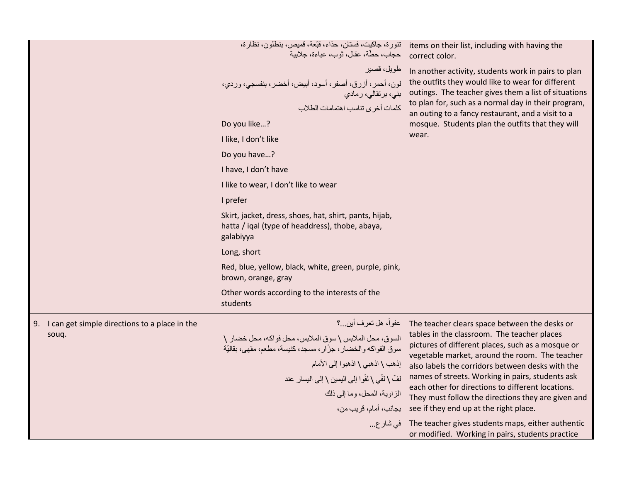|                                                     | تنورة، جاكيت، فستان، حذاء، قبّعة، قميص، بنطلون، نظارة،<br>حجاب، حطَّة، عقال، ثو ب، عباءة، جلابية                          | items on their list, including with having the<br>correct color.                                                                                                 |
|-----------------------------------------------------|---------------------------------------------------------------------------------------------------------------------------|------------------------------------------------------------------------------------------------------------------------------------------------------------------|
|                                                     | طويل، قصير<br>لون، أحمر ، أزرق، أصفر ، أسود، أبيض، أخضر ، بنفسجي، وردي،<br>بنى، برتقالى، رمادي                            | In another activity, students work in pairs to plan<br>the outfits they would like to wear for different<br>outings. The teacher gives them a list of situations |
|                                                     | كلمات أخرى تناسب اهتمامات الطلاب                                                                                          | to plan for, such as a normal day in their program,<br>an outing to a fancy restaurant, and a visit to a                                                         |
|                                                     | Do you like?                                                                                                              | mosque. Students plan the outfits that they will                                                                                                                 |
|                                                     | I like, I don't like                                                                                                      | wear.                                                                                                                                                            |
|                                                     | Do you have?                                                                                                              |                                                                                                                                                                  |
|                                                     | I have, I don't have                                                                                                      |                                                                                                                                                                  |
|                                                     | I like to wear, I don't like to wear                                                                                      |                                                                                                                                                                  |
|                                                     | I prefer                                                                                                                  |                                                                                                                                                                  |
|                                                     | Skirt, jacket, dress, shoes, hat, shirt, pants, hijab,<br>hatta / iqal (type of headdress), thobe, abaya,<br>galabiyya    |                                                                                                                                                                  |
|                                                     | Long, short                                                                                                               |                                                                                                                                                                  |
|                                                     | Red, blue, yellow, black, white, green, purple, pink,<br>brown, orange, gray                                              |                                                                                                                                                                  |
|                                                     | Other words according to the interests of the<br>students                                                                 |                                                                                                                                                                  |
| I can get simple directions to a place in the<br>9. | عفواً، هل تعرف أين؟                                                                                                       | The teacher clears space between the desks or                                                                                                                    |
| souq.                                               | السوق، محل الملابس \ سوق الملابس، محل فواكه، محل خضار \<br>سوق الفواكه والخضار ، جزّار ، مسجد، كنيسة، مطعم، مقهى، بقاليّة | tables in the classroom. The teacher places<br>pictures of different places, such as a mosque or<br>vegetable market, around the room. The teacher               |
|                                                     | إذهب \ اذهبي \ اذهبوا إلى الأمام                                                                                          | also labels the corridors between desks with the                                                                                                                 |
|                                                     | لْفِّ \ لَفِّي \ لَفُّوا إِلَى الْيِمِينِ \ إِلَى الْيِسارِ عند                                                           | names of streets. Working in pairs, students ask<br>each other for directions to different locations.                                                            |
|                                                     | الزاوية، المحل، وما إلى ذلك                                                                                               | They must follow the directions they are given and                                                                                                               |
|                                                     | بجانب، أمام، قريب من،                                                                                                     | see if they end up at the right place.                                                                                                                           |
|                                                     | في شار ع                                                                                                                  | The teacher gives students maps, either authentic<br>or modified. Working in pairs, students practice                                                            |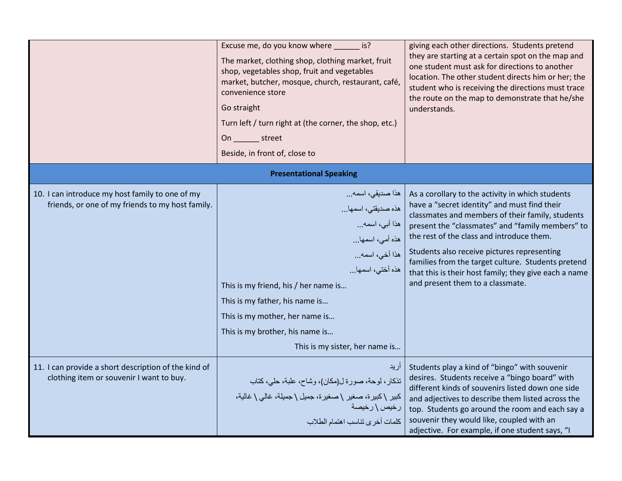|                                                                                                     | Excuse me, do you know where _______ is?<br>The market, clothing shop, clothing market, fruit<br>shop, vegetables shop, fruit and vegetables<br>market, butcher, mosque, church, restaurant, café,<br>convenience store<br>Go straight<br>Turn left / turn right at (the corner, the shop, etc.)<br>On street<br>Beside, in front of, close to | giving each other directions. Students pretend<br>they are starting at a certain spot on the map and<br>one student must ask for directions to another<br>location. The other student directs him or her; the<br>student who is receiving the directions must trace<br>the route on the map to demonstrate that he/she<br>understands.                                                                                                                  |
|-----------------------------------------------------------------------------------------------------|------------------------------------------------------------------------------------------------------------------------------------------------------------------------------------------------------------------------------------------------------------------------------------------------------------------------------------------------|---------------------------------------------------------------------------------------------------------------------------------------------------------------------------------------------------------------------------------------------------------------------------------------------------------------------------------------------------------------------------------------------------------------------------------------------------------|
|                                                                                                     | <b>Presentational Speaking</b>                                                                                                                                                                                                                                                                                                                 |                                                                                                                                                                                                                                                                                                                                                                                                                                                         |
| 10. I can introduce my host family to one of my<br>friends, or one of my friends to my host family. | هذا صديقى، اسمه<br>هذه صديقتي، اسمها<br>هذا أبي، اسمه<br>هذه أمي، اسمها<br>هذا أخي، اسمه<br>هذه أختى، اسمها<br>This is my friend, his / her name is<br>This is my father, his name is<br>This is my mother, her name is<br>This is my brother, his name is<br>This is my sister, her name is                                                   | As a corollary to the activity in which students<br>have a "secret identity" and must find their<br>classmates and members of their family, students<br>present the "classmates" and "family members" to<br>the rest of the class and introduce them.<br>Students also receive pictures representing<br>families from the target culture. Students pretend<br>that this is their host family; they give each a name<br>and present them to a classmate. |
| 11. I can provide a short description of the kind of<br>clothing item or souvenir I want to buy.    | أريد<br>تذكار ، لوحة، صورة ل(مكان)، وشاح، علبة، حلي، كتاب<br>كبير \كبيرة، صغير \صغيرة، جميل \ جميلة، غالي \ غالية،<br>رخيص \ رخيصة<br>كلمات أخرى تناسب اهتمام الطلاب                                                                                                                                                                           | Students play a kind of "bingo" with souvenir<br>desires. Students receive a "bingo board" with<br>different kinds of souvenirs listed down one side<br>and adjectives to describe them listed across the<br>top. Students go around the room and each say a<br>souvenir they would like, coupled with an<br>adjective. For example, if one student says, "I                                                                                            |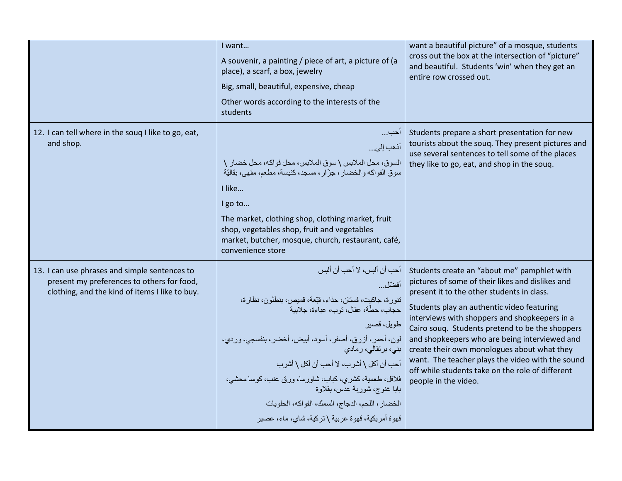|                                                                                                                                               | I want<br>A souvenir, a painting / piece of art, a picture of (a<br>place), a scarf, a box, jewelry<br>Big, small, beautiful, expensive, cheap<br>Other words according to the interests of the<br>students                                                                                                                                                                                                                                                                           | want a beautiful picture" of a mosque, students<br>cross out the box at the intersection of "picture"<br>and beautiful. Students 'win' when they get an<br>entire row crossed out.                                                                                                                                                                                                                                                                                                                                              |
|-----------------------------------------------------------------------------------------------------------------------------------------------|---------------------------------------------------------------------------------------------------------------------------------------------------------------------------------------------------------------------------------------------------------------------------------------------------------------------------------------------------------------------------------------------------------------------------------------------------------------------------------------|---------------------------------------------------------------------------------------------------------------------------------------------------------------------------------------------------------------------------------------------------------------------------------------------------------------------------------------------------------------------------------------------------------------------------------------------------------------------------------------------------------------------------------|
| 12. I can tell where in the soug I like to go, eat,<br>and shop.                                                                              | احب<br>أذهب إلى<br>السوق، محل الملابس \ سوق الملابس، محل فواكه، محل خضار \<br>سوق الفواكه والخضار ، جزَّار ، مسجد، كنيسة، مطعم، مقهى، بقاليَّة<br>I like<br>I go to<br>The market, clothing shop, clothing market, fruit<br>shop, vegetables shop, fruit and vegetables<br>market, butcher, mosque, church, restaurant, café,<br>convenience store                                                                                                                                    | Students prepare a short presentation for new<br>tourists about the souq. They present pictures and<br>use several sentences to tell some of the places<br>they like to go, eat, and shop in the souq.                                                                                                                                                                                                                                                                                                                          |
| 13. I can use phrases and simple sentences to<br>present my preferences to others for food,<br>clothing, and the kind of items I like to buy. | أحب أن ألبس، لا أحب أن ألبس<br>أفضّل<br>تنور ة، جاكيت، فستان، حذاء، قبّعة، قميص، بنطلون، نظار ة،<br>حجاب، حطَّة، عقال، ثو ب، عباءة، جلابية<br>طويل، قصير<br>لون، أحمر، أزرق، أصفر، أسود، أبيض، أخضر، بنفسجي، وردي،<br>بنی، برتقالی، رمادی<br>أحب أن آكل \ أشرب، لا أحب أن آكل \ أشرب<br>فلافل، طعمية، كشري، كباب، شاورما، ورق عنب، كوسا محشى،<br>بابا غنوج، شوربة عدس، بقلاوة<br>الخضار ، اللحم، الدجاج، السمك، الفواكه، الحلويات<br>قهوة أمريكية، قهوة عربية \ تركية، شاي، ماء، عصير | Students create an "about me" pamphlet with<br>pictures of some of their likes and dislikes and<br>present it to the other students in class.<br>Students play an authentic video featuring<br>interviews with shoppers and shopkeepers in a<br>Cairo souq. Students pretend to be the shoppers<br>and shopkeepers who are being interviewed and<br>create their own monologues about what they<br>want. The teacher plays the video with the sound<br>off while students take on the role of different<br>people in the video. |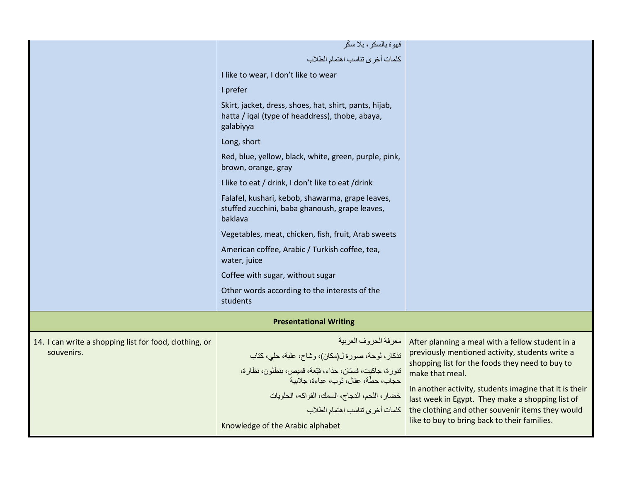|                                                        | قهوة بالسكر ، بلا سكّر<br>كلمات أخرى تناسب اهتمام الطلاب                                                               |                                                                                                            |
|--------------------------------------------------------|------------------------------------------------------------------------------------------------------------------------|------------------------------------------------------------------------------------------------------------|
|                                                        | I like to wear, I don't like to wear                                                                                   |                                                                                                            |
|                                                        |                                                                                                                        |                                                                                                            |
|                                                        | I prefer                                                                                                               |                                                                                                            |
|                                                        | Skirt, jacket, dress, shoes, hat, shirt, pants, hijab,<br>hatta / iqal (type of headdress), thobe, abaya,<br>galabiyya |                                                                                                            |
|                                                        | Long, short                                                                                                            |                                                                                                            |
|                                                        | Red, blue, yellow, black, white, green, purple, pink,<br>brown, orange, gray                                           |                                                                                                            |
|                                                        | I like to eat / drink, I don't like to eat / drink                                                                     |                                                                                                            |
|                                                        | Falafel, kushari, kebob, shawarma, grape leaves,<br>stuffed zucchini, baba ghanoush, grape leaves,<br>baklava          |                                                                                                            |
|                                                        | Vegetables, meat, chicken, fish, fruit, Arab sweets                                                                    |                                                                                                            |
|                                                        | American coffee, Arabic / Turkish coffee, tea,<br>water, juice                                                         |                                                                                                            |
|                                                        | Coffee with sugar, without sugar                                                                                       |                                                                                                            |
|                                                        | Other words according to the interests of the<br>students                                                              |                                                                                                            |
| <b>Presentational Writing</b>                          |                                                                                                                        |                                                                                                            |
| 14. I can write a shopping list for food, clothing, or | معرفة الحروف العربية                                                                                                   | After planning a meal with a fellow student in a                                                           |
| souvenirs.                                             | تذكار، لوحة، صورة ل(مكان)، وشاح، علبة، حلى، كتاب                                                                       | previously mentioned activity, students write a<br>shopping list for the foods they need to buy to         |
|                                                        | تنورة، جاكيت، فستان، حذاء، قبّعة، قميص، بنطلون، نظارة،<br>حجاب، حطَّة، عقال، ثوب، عباءة، جلاببة                        | make that meal.                                                                                            |
|                                                        | خضار ، اللحم، الدجاج، السمك، الفواكه، الحلويات                                                                         | In another activity, students imagine that it is their<br>last week in Egypt. They make a shopping list of |
|                                                        | كلمات أخرى تناسب اهتمام الطلاب                                                                                         | the clothing and other souvenir items they would                                                           |
|                                                        | Knowledge of the Arabic alphabet                                                                                       | like to buy to bring back to their families.                                                               |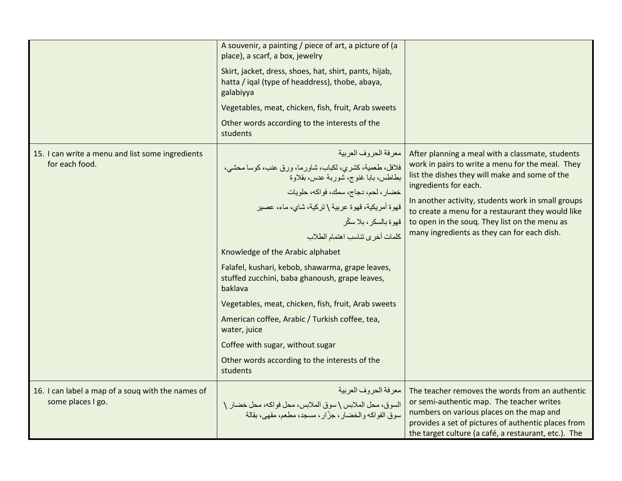|                                                   | A souvenir, a painting / piece of art, a picture of (a<br>place), a scarf, a box, jewelry                              |                                                                                                             |
|---------------------------------------------------|------------------------------------------------------------------------------------------------------------------------|-------------------------------------------------------------------------------------------------------------|
|                                                   | Skirt, jacket, dress, shoes, hat, shirt, pants, hijab,<br>hatta / iqal (type of headdress), thobe, abaya,<br>galabiyya |                                                                                                             |
|                                                   | Vegetables, meat, chicken, fish, fruit, Arab sweets                                                                    |                                                                                                             |
|                                                   | Other words according to the interests of the<br>students                                                              |                                                                                                             |
| 15. I can write a menu and list some ingredients  | معرفة الحروف العربية                                                                                                   | After planning a meal with a classmate, students                                                            |
| for each food.                                    | فلافل، طعمية، كشرى، لكباب، شاورما، ورق عنب، كوسا محشى،<br>بطاطس، بابا غنوج، شوربة عدس، بقلاوة                          | work in pairs to write a menu for the meal. They<br>list the dishes they will make and some of the          |
|                                                   | خضار، لحم، دجاج، سمك، فواكه، حلويات                                                                                    | ingredients for each.                                                                                       |
|                                                   | قهوة أمريكية، قهوة عربية \ تركية، شاي، ماء، عصير                                                                       | In another activity, students work in small groups<br>to create a menu for a restaurant they would like     |
|                                                   | قهوة بالسكر ، بلا سكّر                                                                                                 | to open in the souq. They list on the menu as<br>many ingredients as they can for each dish.                |
|                                                   | كلمات أخرى تناسب اهتمام الطلاب                                                                                         |                                                                                                             |
|                                                   | Knowledge of the Arabic alphabet                                                                                       |                                                                                                             |
|                                                   | Falafel, kushari, kebob, shawarma, grape leaves,<br>stuffed zucchini, baba ghanoush, grape leaves,<br>baklava          |                                                                                                             |
|                                                   | Vegetables, meat, chicken, fish, fruit, Arab sweets                                                                    |                                                                                                             |
|                                                   | American coffee, Arabic / Turkish coffee, tea,<br>water, juice                                                         |                                                                                                             |
|                                                   | Coffee with sugar, without sugar                                                                                       |                                                                                                             |
|                                                   | Other words according to the interests of the<br>students                                                              |                                                                                                             |
| 16. I can label a map of a soug with the names of | معرفة الحروف العربية                                                                                                   | The teacher removes the words from an authentic                                                             |
| some places I go.                                 | السوق، محل الملابس \ سوق الملابس، محل فواكه، محل خضار \<br>سوق الفواكه والخضار ، جزّار ، مسجد، مطعم، مقهى، بقالة       | or semi-authentic map. The teacher writes<br>numbers on various places on the map and                       |
|                                                   |                                                                                                                        | provides a set of pictures of authentic places from<br>the target culture (a café, a restaurant, etc.). The |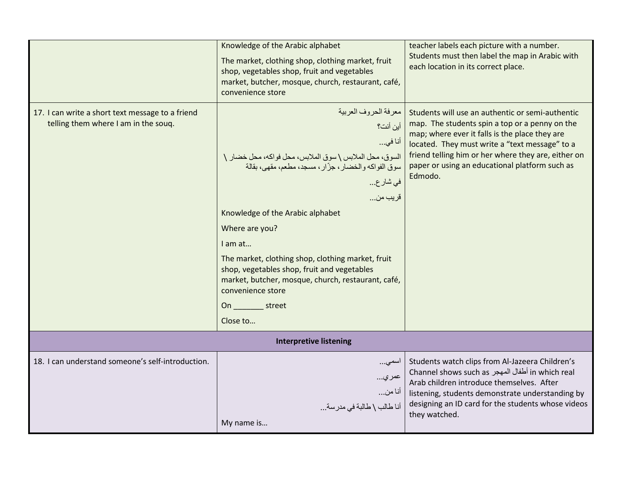|                                                                                          | Knowledge of the Arabic alphabet<br>The market, clothing shop, clothing market, fruit<br>shop, vegetables shop, fruit and vegetables<br>market, butcher, mosque, church, restaurant, café,<br>convenience store                                                                                                                                                                                                                                                | teacher labels each picture with a number.<br>Students must then label the map in Arabic with<br>each location in its correct place.                                                                                                                                                                                       |
|------------------------------------------------------------------------------------------|----------------------------------------------------------------------------------------------------------------------------------------------------------------------------------------------------------------------------------------------------------------------------------------------------------------------------------------------------------------------------------------------------------------------------------------------------------------|----------------------------------------------------------------------------------------------------------------------------------------------------------------------------------------------------------------------------------------------------------------------------------------------------------------------------|
| 17. I can write a short text message to a friend<br>telling them where I am in the souq. | معرفة الحروف العربية<br>أين أنت؟<br>أنا في<br>السوق، محل الملابس \ سوق الملابس، محل فواكه، محل خضار \<br>سوق الفواكه والخضار ، جزّار ، مسجد، مطعم، مقهى، بقالة<br>في شار ع<br>قريب من<br>Knowledge of the Arabic alphabet<br>Where are you?<br>I am at<br>The market, clothing shop, clothing market, fruit<br>shop, vegetables shop, fruit and vegetables<br>market, butcher, mosque, church, restaurant, café,<br>convenience store<br>On street<br>Close to | Students will use an authentic or semi-authentic<br>map. The students spin a top or a penny on the<br>map; where ever it falls is the place they are<br>located. They must write a "text message" to a<br>friend telling him or her where they are, either on<br>paper or using an educational platform such as<br>Edmodo. |
|                                                                                          | <b>Interpretive listening</b>                                                                                                                                                                                                                                                                                                                                                                                                                                  |                                                                                                                                                                                                                                                                                                                            |
| 18. I can understand someone's self-introduction.                                        | اسمى<br>عمري<br>أنا من<br>أنا طالب \ طالبة في مدرسة<br>My name is                                                                                                                                                                                                                                                                                                                                                                                              | Students watch clips from Al-Jazeera Children's<br>in which real أطفال المهجر Channel shows such as<br>Arab children introduce themselves. After<br>listening, students demonstrate understanding by<br>designing an ID card for the students whose videos<br>they watched.                                                |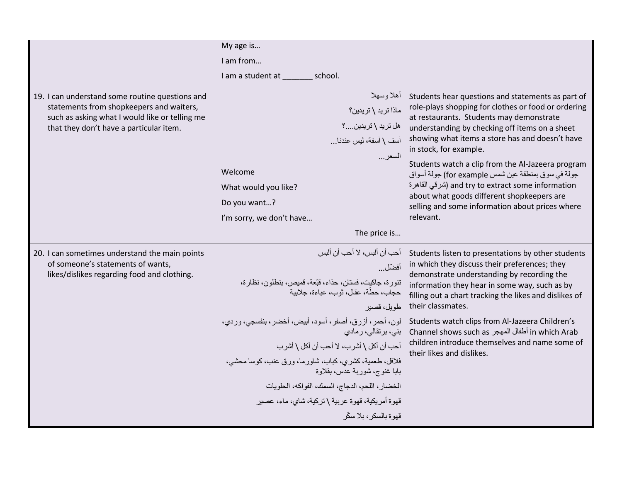|                                                                                             | My age is                                                                     |                                                                                                          |
|---------------------------------------------------------------------------------------------|-------------------------------------------------------------------------------|----------------------------------------------------------------------------------------------------------|
|                                                                                             |                                                                               |                                                                                                          |
|                                                                                             | I am from                                                                     |                                                                                                          |
|                                                                                             | I am a student at<br>school.                                                  |                                                                                                          |
| 19. I can understand some routine questions and<br>statements from shopkeepers and waiters, | أهلا وسهلا                                                                    | Students hear questions and statements as part of<br>role-plays shopping for clothes or food or ordering |
| such as asking what I would like or telling me                                              | ماذا ترید \ تریدین؟                                                           | at restaurants. Students may demonstrate                                                                 |
| that they don't have a particular item.                                                     | هل ترید \ تریدین؟                                                             | understanding by checking off items on a sheet                                                           |
|                                                                                             | آسف \ أسفة، ليس عندنـا                                                        | showing what items a store has and doesn't have<br>in stock, for example.                                |
|                                                                                             | السعر                                                                         | Students watch a clip from the Al-Jazeera program                                                        |
|                                                                                             | Welcome                                                                       | جولة في سوق بمنطقة عين شمس for example) جولة أسواق                                                       |
|                                                                                             | What would you like?                                                          | and try to extract some information (شرقى القاهرة                                                        |
|                                                                                             | Do you want?                                                                  | about what goods different shopkeepers are<br>selling and some information about prices where            |
|                                                                                             | I'm sorry, we don't have                                                      | relevant.                                                                                                |
|                                                                                             | The price is                                                                  |                                                                                                          |
| 20. I can sometimes understand the main points                                              | أحب أن ألبس، لا أحب أن ألبس                                                   | Students listen to presentations by other students                                                       |
| of someone's statements of wants,                                                           | أفضّل                                                                         | in which they discuss their preferences; they                                                            |
| likes/dislikes regarding food and clothing.                                                 | تنورة، جاكيت، فستان، حذاء، قبّعة، قميص، بنطلون، نظارة،                        | demonstrate understanding by recording the<br>information they hear in some way, such as by              |
|                                                                                             | حجاب، حطَّة، عقال، ثو ب، عباءة، جلابية                                        | filling out a chart tracking the likes and dislikes of                                                   |
|                                                                                             | طويل، قصير                                                                    | their classmates.                                                                                        |
|                                                                                             | لون، أحمر، أزرق، أصفر، أسود، أبيض، أخضر، بنفسجي، وردي،<br>بنی، برتقالی، رمادی | Students watch clips from Al-Jazeera Children's<br>in which Arab أطفال المهجر Channel shows such as      |
|                                                                                             | أحب أن آكل \ أشرب، لا أحب أن آكل \ أشرب                                       | children introduce themselves and name some of                                                           |
|                                                                                             | فلافل، طعمية، كشرى، كباب، شاورما، ورق عنب، كوسا محشى،                         | their likes and dislikes.                                                                                |
|                                                                                             | بابا غنوج، شوربة عدس، بقلاوة                                                  |                                                                                                          |
|                                                                                             | الخضار، اللحم، الدجاج، السمك، الفواكه، الحلويات                               |                                                                                                          |
|                                                                                             | قهوة أمريكية، قهوة عربية \ تركية، شاي، ماء، عصير                              |                                                                                                          |
|                                                                                             | قهو ة بالسكر ، بلا سكّر                                                       |                                                                                                          |
|                                                                                             |                                                                               |                                                                                                          |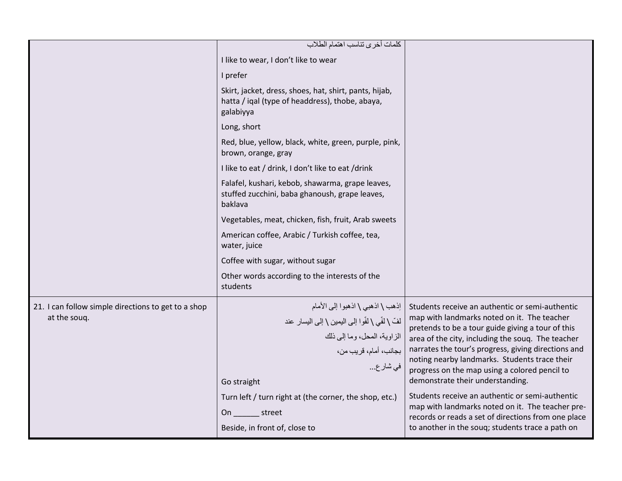|                                                                     | كلمات أخرى تناسب اهتمام الطلاب                                                                                                                                                                                                                                                             |                                                                                                                                                                                                                                                                                                                                                                                                                                                                                                                                                                                                                         |
|---------------------------------------------------------------------|--------------------------------------------------------------------------------------------------------------------------------------------------------------------------------------------------------------------------------------------------------------------------------------------|-------------------------------------------------------------------------------------------------------------------------------------------------------------------------------------------------------------------------------------------------------------------------------------------------------------------------------------------------------------------------------------------------------------------------------------------------------------------------------------------------------------------------------------------------------------------------------------------------------------------------|
|                                                                     | I like to wear, I don't like to wear                                                                                                                                                                                                                                                       |                                                                                                                                                                                                                                                                                                                                                                                                                                                                                                                                                                                                                         |
|                                                                     | I prefer                                                                                                                                                                                                                                                                                   |                                                                                                                                                                                                                                                                                                                                                                                                                                                                                                                                                                                                                         |
|                                                                     | Skirt, jacket, dress, shoes, hat, shirt, pants, hijab,<br>hatta / iqal (type of headdress), thobe, abaya,<br>galabiyya                                                                                                                                                                     |                                                                                                                                                                                                                                                                                                                                                                                                                                                                                                                                                                                                                         |
|                                                                     | Long, short                                                                                                                                                                                                                                                                                |                                                                                                                                                                                                                                                                                                                                                                                                                                                                                                                                                                                                                         |
|                                                                     | Red, blue, yellow, black, white, green, purple, pink,<br>brown, orange, gray                                                                                                                                                                                                               |                                                                                                                                                                                                                                                                                                                                                                                                                                                                                                                                                                                                                         |
|                                                                     | I like to eat / drink, I don't like to eat / drink                                                                                                                                                                                                                                         |                                                                                                                                                                                                                                                                                                                                                                                                                                                                                                                                                                                                                         |
|                                                                     | Falafel, kushari, kebob, shawarma, grape leaves,<br>stuffed zucchini, baba ghanoush, grape leaves,<br>baklava                                                                                                                                                                              |                                                                                                                                                                                                                                                                                                                                                                                                                                                                                                                                                                                                                         |
|                                                                     | Vegetables, meat, chicken, fish, fruit, Arab sweets                                                                                                                                                                                                                                        |                                                                                                                                                                                                                                                                                                                                                                                                                                                                                                                                                                                                                         |
|                                                                     | American coffee, Arabic / Turkish coffee, tea,<br>water, juice                                                                                                                                                                                                                             |                                                                                                                                                                                                                                                                                                                                                                                                                                                                                                                                                                                                                         |
|                                                                     | Coffee with sugar, without sugar                                                                                                                                                                                                                                                           |                                                                                                                                                                                                                                                                                                                                                                                                                                                                                                                                                                                                                         |
|                                                                     | Other words according to the interests of the<br>students                                                                                                                                                                                                                                  |                                                                                                                                                                                                                                                                                                                                                                                                                                                                                                                                                                                                                         |
| 21. I can follow simple directions to get to a shop<br>at the soug. | اِذهب \ اذهبي \ اذهبوا إلىي الأمام<br>لفّ \ لفّي \ لفّوا إلى اليمين \ إلى اليسار عند<br>الزاوية، المحل، وما إلى ذلك<br>  بجانب، أمام، قريب من،<br>في شار ع<br>Go straight<br>Turn left / turn right at (the corner, the shop, etc.)<br>On ________ street<br>Beside, in front of, close to | Students receive an authentic or semi-authentic<br>map with landmarks noted on it. The teacher<br>pretends to be a tour guide giving a tour of this<br>area of the city, including the souq. The teacher<br>narrates the tour's progress, giving directions and<br>noting nearby landmarks. Students trace their<br>progress on the map using a colored pencil to<br>demonstrate their understanding.<br>Students receive an authentic or semi-authentic<br>map with landmarks noted on it. The teacher pre-<br>records or reads a set of directions from one place<br>to another in the souq; students trace a path on |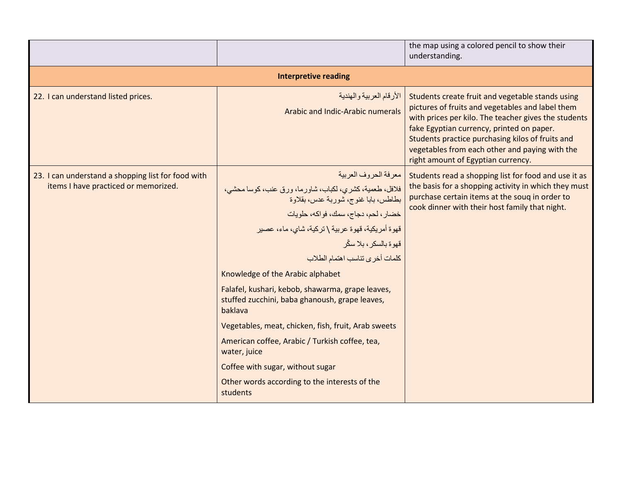|                                                                                            |                                                                                                                                                                                                                                                                                                                                                                                                                                                                                                                                                                                                                                                             | the map using a colored pencil to show their<br>understanding.                                                                                                                                                                                                                                                                                        |
|--------------------------------------------------------------------------------------------|-------------------------------------------------------------------------------------------------------------------------------------------------------------------------------------------------------------------------------------------------------------------------------------------------------------------------------------------------------------------------------------------------------------------------------------------------------------------------------------------------------------------------------------------------------------------------------------------------------------------------------------------------------------|-------------------------------------------------------------------------------------------------------------------------------------------------------------------------------------------------------------------------------------------------------------------------------------------------------------------------------------------------------|
| <b>Interpretive reading</b>                                                                |                                                                                                                                                                                                                                                                                                                                                                                                                                                                                                                                                                                                                                                             |                                                                                                                                                                                                                                                                                                                                                       |
| 22. I can understand listed prices.                                                        | الأرقام العربية والهندية<br>Arabic and Indic-Arabic numerals                                                                                                                                                                                                                                                                                                                                                                                                                                                                                                                                                                                                | Students create fruit and vegetable stands using<br>pictures of fruits and vegetables and label them<br>with prices per kilo. The teacher gives the students<br>fake Egyptian currency, printed on paper.<br>Students practice purchasing kilos of fruits and<br>vegetables from each other and paying with the<br>right amount of Egyptian currency. |
| 23. I can understand a shopping list for food with<br>items I have practiced or memorized. | معرفة الحروف العربية<br>فلافل، طعمية، كشري، لكباب، شاورما، ورق عنب، كوسا محشي،<br>بطاطس، بابا غنوج، شوربة عدس، بقلاوة<br>خضار، لحم، دجاج، سمك، فواكه، حلويات<br>قهوة أمريكية، قهوة عربية \ تركية، شاي، ماء، عصير<br>قهوة بالسكر ، بلا سكّر<br>كلمات أخرى تناسب اهتمام الطلاب<br>Knowledge of the Arabic alphabet<br>Falafel, kushari, kebob, shawarma, grape leaves,<br>stuffed zucchini, baba ghanoush, grape leaves,<br>baklava<br>Vegetables, meat, chicken, fish, fruit, Arab sweets<br>American coffee, Arabic / Turkish coffee, tea,<br>water, juice<br>Coffee with sugar, without sugar<br>Other words according to the interests of the<br>students | Students read a shopping list for food and use it as<br>the basis for a shopping activity in which they must<br>purchase certain items at the soug in order to<br>cook dinner with their host family that night.                                                                                                                                      |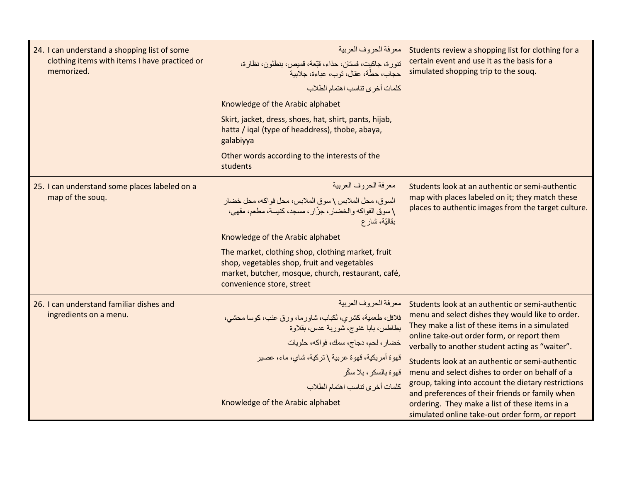| 24. I can understand a shopping list of some<br>clothing items with items I have practiced or<br>memorized. | معر فة الحر وف العربية<br>تنورة، جاكيت، فستان، حذاء، قبَّعة، قميص، بنطلون، نظارة،<br>حجاب، حطّة، عقال، ثوب، عباءة، جلابية<br>كلمات أخرى تناسب اهتمام الطلاب<br>Knowledge of the Arabic alphabet<br>Skirt, jacket, dress, shoes, hat, shirt, pants, hijab,<br>hatta / iqal (type of headdress), thobe, abaya,<br>galabiyya<br>Other words according to the interests of the<br>students  | Students review a shopping list for clothing for a<br>certain event and use it as the basis for a<br>simulated shopping trip to the souq.                                                                                                                                                                                                                                                                                                                                                                                                                                  |
|-------------------------------------------------------------------------------------------------------------|-----------------------------------------------------------------------------------------------------------------------------------------------------------------------------------------------------------------------------------------------------------------------------------------------------------------------------------------------------------------------------------------|----------------------------------------------------------------------------------------------------------------------------------------------------------------------------------------------------------------------------------------------------------------------------------------------------------------------------------------------------------------------------------------------------------------------------------------------------------------------------------------------------------------------------------------------------------------------------|
| 25. I can understand some places labeled on a<br>map of the souq.                                           | معرفة الحروف العربية<br>السوق، محل الملابس \ سوق الملابس، محل فواكه، محل خضبار<br>١ سوق الفواكه والخضار ، جزّار ، مسجد، كنيسة، مطعم، مقهى،<br>بقاليّة، شار ع<br>Knowledge of the Arabic alphabet<br>The market, clothing shop, clothing market, fruit<br>shop, vegetables shop, fruit and vegetables<br>market, butcher, mosque, church, restaurant, café,<br>convenience store, street | Students look at an authentic or semi-authentic<br>map with places labeled on it; they match these<br>places to authentic images from the target culture.                                                                                                                                                                                                                                                                                                                                                                                                                  |
| 26. I can understand familiar dishes and<br>ingredients on a menu.                                          | معرفة الحروف العربية<br>فلافل، طعمية، كشرى، لكباب، شاورما، ورق عنب، كوسا محشى،<br>بطاطس، بابا غنوج، شوربة عدس، بقلاوة<br>خضار، لحم، دجاج، سمك، فواكه، حلويات<br>قهوة أمريكية، قهوة عربية \ تركية، شاي، ماء، عصبر<br>قهوة بالسكر ، بلا سكّر<br>كلمات أخرى تناسب اهتمام الطلاب<br>Knowledge of the Arabic alphabet                                                                        | Students look at an authentic or semi-authentic<br>menu and select dishes they would like to order.<br>They make a list of these items in a simulated<br>online take-out order form, or report them<br>verbally to another student acting as "waiter".<br>Students look at an authentic or semi-authentic<br>menu and select dishes to order on behalf of a<br>group, taking into account the dietary restrictions<br>and preferences of their friends or family when<br>ordering. They make a list of these items in a<br>simulated online take-out order form, or report |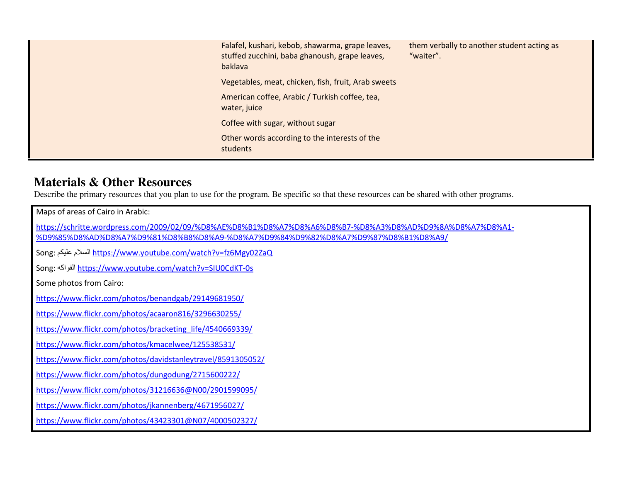| Falafel, kushari, kebob, shawarma, grape leaves,<br>stuffed zucchini, baba ghanoush, grape leaves,<br>baklava         | them verbally to another student acting as<br>"waiter". |
|-----------------------------------------------------------------------------------------------------------------------|---------------------------------------------------------|
| Vegetables, meat, chicken, fish, fruit, Arab sweets<br>American coffee, Arabic / Turkish coffee, tea,<br>water, juice |                                                         |
| Coffee with sugar, without sugar<br>Other words according to the interests of the<br>students                         |                                                         |

### **Materials & Other Resources**

Describe the primary resources that you plan to use for the program. Be specific so that these resources can be shared with other programs.

| Maps of areas of Cairo in Arabic:                                                                                                                                                            |
|----------------------------------------------------------------------------------------------------------------------------------------------------------------------------------------------|
| https://schritte.wordpress.com/2009/02/09/%D8%AE%D8%B1%D8%A7%D8%A6%D8%B7-%D8%A3%D8%AD%D9%8A%D8%A7%D8%A1-<br>%D9%85%D8%AD%D8%A7%D9%81%D8%B8%D8%A9-%D8%A7%D9%84%D9%82%D8%A7%D9%87%D8%B1%D8%A9/ |
| Song: السلام عليكم https://www.youtube.com/watch?v=fz6Mgy02ZaQ                                                                                                                               |
| Song: الفواكه https://www.youtube.com/watch?v=SIU0CdKT-0s                                                                                                                                    |
| Some photos from Cairo:                                                                                                                                                                      |
| https://www.flickr.com/photos/benandgab/29149681950/                                                                                                                                         |
| https://www.flickr.com/photos/acaaron816/3296630255/                                                                                                                                         |
| https://www.flickr.com/photos/bracketing life/4540669339/                                                                                                                                    |
| https://www.flickr.com/photos/kmacelwee/125538531/                                                                                                                                           |
| https://www.flickr.com/photos/davidstanleytravel/8591305052/                                                                                                                                 |
| https://www.flickr.com/photos/dungodung/2715600222/                                                                                                                                          |
| https://www.flickr.com/photos/31216636@N00/2901599095/                                                                                                                                       |
| https://www.flickr.com/photos/jkannenberg/4671956027/                                                                                                                                        |
| https://www.flickr.com/photos/43423301@N07/4000502327/                                                                                                                                       |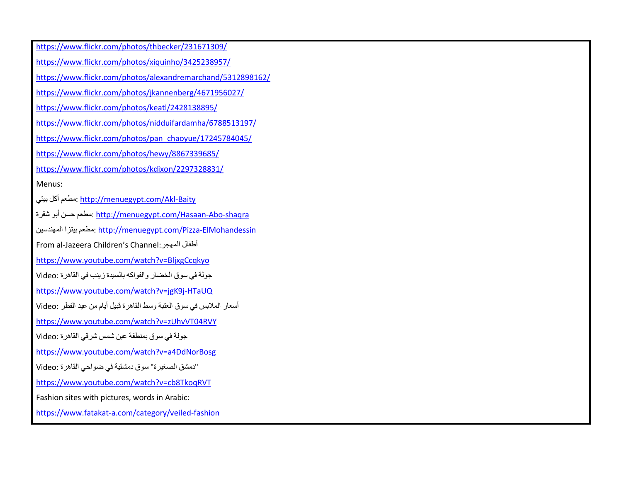https://www.flickr.com/photos/thbecker/231671309/https://www.flickr.com/photos/xiquinho/3425238957/https://www.flickr.com/photos/alexandremarchand/5312898162/https://www.flickr.com/photos/jkannenberg/4671956027/https://www.flickr.com/photos/keatl/2428138895/https://www.flickr.com/photos/nidduifardamha/6788513197/https://www.flickr.com/photos/pan\_chaoyue/17245784045/https://www.flickr.com/photos/hewy/8867339685/https://www.flickr.com/photos/kdixon/2297328831/Menus: بمطعم أكل بيتي <u>http://menuegypt.com/Akl-Baity</u> نمطعم حسن أبو شقرة: <u>http://menuegypt.com/Hasaan-Abo-shaqra</u> المھندسين بيتز بيتز بيتزا بي بيتزا بي بيتزا بين بيتن بيتن بيتن بيتن بيتن بيتن بين بيتن بين بيتن بين  $\frac{\text{http://menuegypt.com/Pizza-ElMohandessin}}$ From al-Jazeera Children's Channel: المھجر أطفال https://www.youtube.com/watch?v=BljxgCcqkyoجولة في سوق الخضار والفواكه بالسيدة زينب في القاھرة :Video https://www.youtube.com/watch?v=jgK9j-HTaUQأسعار المبس في سوق العتبة وسط القاھرة قبيل أيام من عيد الفطر :Video https://www.youtube.com/watch?v=zUhvVT04RVYجولة في سوق بمنطقة عين شمس شرقي القاھرة :Video https://www.youtube.com/watch?v=a4DdNorBosgا'دمشق الصغيرة" سوق دمشقية في ضواحي القاهرة :Video<br>'' https://www.youtube.com/watch?v=cb8TkoqRVTFashion sites with pictures, words in Arabic: https://www.fatakat-a.com/category/veiled-fashion